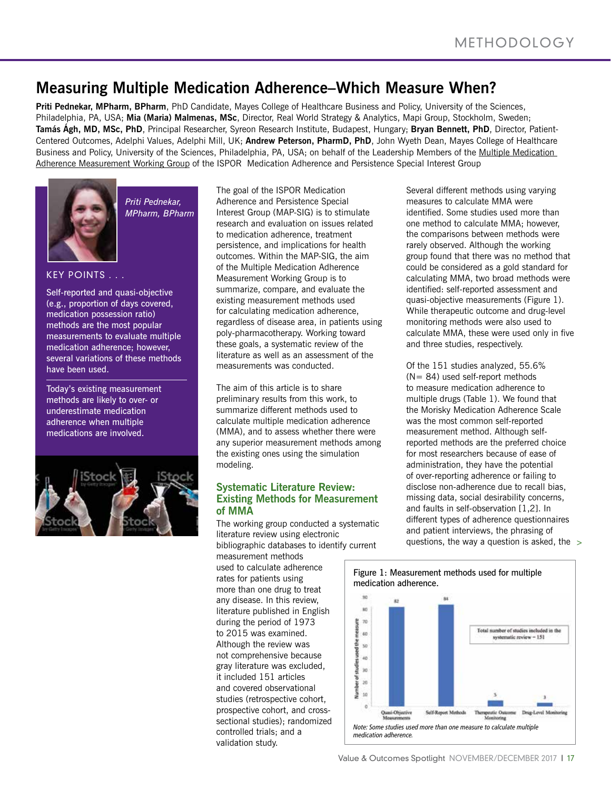# **Measuring Multiple Medication Adherence–Which Measure When?**

**Priti Pednekar, MPharm, BPharm**, PhD Candidate, Mayes College of Healthcare Business and Policy, University of the Sciences, Philadelphia, PA, USA; **Mia (Maria) Malmenas, MSc**, Director, Real World Strategy & Analytics, Mapi Group, Stockholm, Sweden; **Tamás Ágh, MD, MSc, PhD**, Principal Researcher, Syreon Research Institute, Budapest, Hungary; **Bryan Bennett, PhD**, Director, Patient-Centered Outcomes, Adelphi Values, Adelphi Mill, UK; **Andrew Peterson, PharmD, PhD**, John Wyeth Dean, Mayes College of Healthcare Business and Policy, University of the Sciences, Philadelphia, PA, USA; on behalf of the Leadership Members of the Multiple Medication Adherence Measurement Working Group of the ISPOR Medication Adherence and Persistence Special Interest Group



*Priti Pednekar, MPharm, BPharm*

## **KEY POINTS . . .**

Self-reported and quasi-objective (e.g., proportion of days covered, medication possession ratio) methods are the most popular measurements to evaluate multiple medication adherence; however, several variations of these methods have been used.

Today's existing measurement methods are likely to over- or underestimate medication adherence when multiple medications are involved.



The goal of the ISPOR Medication Adherence and Persistence Special Interest Group (MAP-SIG) is to stimulate research and evaluation on issues related to medication adherence, treatment persistence, and implications for health outcomes. Within the MAP-SIG, the aim of the Multiple Medication Adherence Measurement Working Group is to summarize, compare, and evaluate the existing measurement methods used for calculating medication adherence, regardless of disease area, in patients using poly-pharmacotherapy. Working toward these goals, a systematic review of the literature as well as an assessment of the measurements was conducted.

The aim of this article is to share preliminary results from this work, to summarize different methods used to calculate multiple medication adherence (MMA), and to assess whether there were any superior measurement methods among the existing ones using the simulation modeling.

#### **Systematic Literature Review: Existing Methods for Measurement of MMA**

The working group conducted a systematic literature review using electronic bibliographic databases to identify current

measurement methods used to calculate adherence rates for patients using more than one drug to treat any disease. In this review, literature published in English during the period of 1973 to 2015 was examined. Although the review was not comprehensive because gray literature was excluded, it included 151 articles and covered observational studies (retrospective cohort, prospective cohort, and crosssectional studies); randomized controlled trials; and a validation study.

Several different methods using varying measures to calculate MMA were identified. Some studies used more than one method to calculate MMA; however, the comparisons between methods were rarely observed. Although the working group found that there was no method that could be considered as a gold standard for calculating MMA, two broad methods were identified: self-reported assessment and quasi-objective measurements (Figure 1). While therapeutic outcome and drug-level monitoring methods were also used to calculate MMA, these were used only in five and three studies, respectively.

Of the 151 studies analyzed, 55.6% (N= 84) used self-report methods to measure medication adherence to multiple drugs (Table 1). We found that the Morisky Medication Adherence Scale was the most common self-reported measurement method. Although selfreported methods are the preferred choice for most researchers because of ease of administration, they have the potential of over-reporting adherence or failing to disclose non-adherence due to recall bias, missing data, social desirability concerns, and faults in self-observation [1,2]. In different types of adherence questionnaires and patient interviews, the phrasing of questions, the way a question is asked, the >

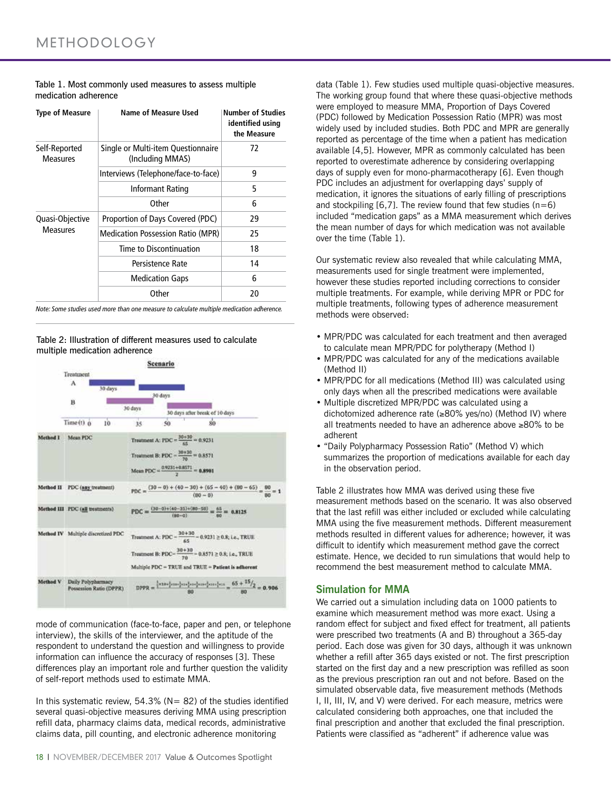| Table 1. Most commonly used measures to assess multiple |  |
|---------------------------------------------------------|--|
| medication adherence                                    |  |

| <b>Type of Measure</b>             | Name of Measure Used                                   | <b>Number of Studies</b><br>identified using<br>the Measure |
|------------------------------------|--------------------------------------------------------|-------------------------------------------------------------|
| Self-Reported<br><b>Measures</b>   | Single or Multi-item Questionnaire<br>(Including MMAS) | 72                                                          |
|                                    | Interviews (Telephone/face-to-face)                    | 9                                                           |
|                                    | Informant Rating                                       | 5                                                           |
|                                    | Other                                                  | 6                                                           |
| Quasi-Objective<br><b>Measures</b> | Proportion of Days Covered (PDC)                       | 29                                                          |
|                                    | <b>Medication Possession Ratio (MPR)</b>               | 25                                                          |
|                                    | Time to Discontinuation                                | 18                                                          |
|                                    | Persistence Rate                                       | 14                                                          |
|                                    | <b>Medication Gaps</b>                                 | 6                                                           |
|                                    | Other                                                  | 20                                                          |

*Note: Some studies used more than one measure to calculate multiple medication adherence.*

Table 2: Illustration of different measures used to calculate multiple medication adherence



mode of communication (face-to-face, paper and pen, or telephone interview), the skills of the interviewer, and the aptitude of the respondent to understand the question and willingness to provide information can influence the accuracy of responses [3]. These differences play an important role and further question the validity of self-report methods used to estimate MMA.

In this systematic review,  $54.3\%$  (N= 82) of the studies identified several quasi-objective measures deriving MMA using prescription refill data, pharmacy claims data, medical records, administrative claims data, pill counting, and electronic adherence monitoring

18 | NOVEMBER/DECEMBER 2017 Value & Outcomes Spotlight

data (Table 1). Few studies used multiple quasi-objective measures. The working group found that where these quasi-objective methods were employed to measure MMA, Proportion of Days Covered (PDC) followed by Medication Possession Ratio (MPR) was most widely used by included studies. Both PDC and MPR are generally reported as percentage of the time when a patient has medication available [4,5]. However, MPR as commonly calculated has been reported to overestimate adherence by considering overlapping days of supply even for mono-pharmacotherapy [6]. Even though PDC includes an adjustment for overlapping days' supply of medication, it ignores the situations of early filling of prescriptions and stockpiling  $[6,7]$ . The review found that few studies  $(n=6)$ included "medication gaps" as a MMA measurement which derives the mean number of days for which medication was not available over the time (Table 1).

Our systematic review also revealed that while calculating MMA, measurements used for single treatment were implemented, however these studies reported including corrections to consider multiple treatments. For example, while deriving MPR or PDC for multiple treatments, following types of adherence measurement methods were observed:

- MPR/PDC was calculated for each treatment and then averaged to calculate mean MPR/PDC for polytherapy (Method I)
- MPR/PDC was calculated for any of the medications available (Method II)
- MPR/PDC for all medications (Method III) was calculated using only days when all the prescribed medications were available
- Multiple discretized MPR/PDC was calculated using a dichotomized adherence rate (≥80% yes/no) (Method IV) where all treatments needed to have an adherence above ≥80% to be adherent
- "Daily Polypharmacy Possession Ratio" (Method V) which summarizes the proportion of medications available for each day in the observation period.

Table 2 illustrates how MMA was derived using these five measurement methods based on the scenario. It was also observed that the last refill was either included or excluded while calculating MMA using the five measurement methods. Different measurement methods resulted in different values for adherence; however, it was difficult to identify which measurement method gave the correct estimate. Hence, we decided to run simulations that would help to recommend the best measurement method to calculate MMA.

### **Simulation for MMA**

We carried out a simulation including data on 1000 patients to examine which measurement method was more exact. Using a random effect for subject and fixed effect for treatment, all patients were prescribed two treatments (A and B) throughout a 365-day period. Each dose was given for 30 days, although it was unknown whether a refill after 365 days existed or not. The first prescription started on the first day and a new prescription was refilled as soon as the previous prescription ran out and not before. Based on the simulated observable data, five measurement methods (Methods I, II, III, IV, and V) were derived. For each measure, metrics were calculated considering both approaches, one that included the final prescription and another that excluded the final prescription. Patients were classified as "adherent" if adherence value was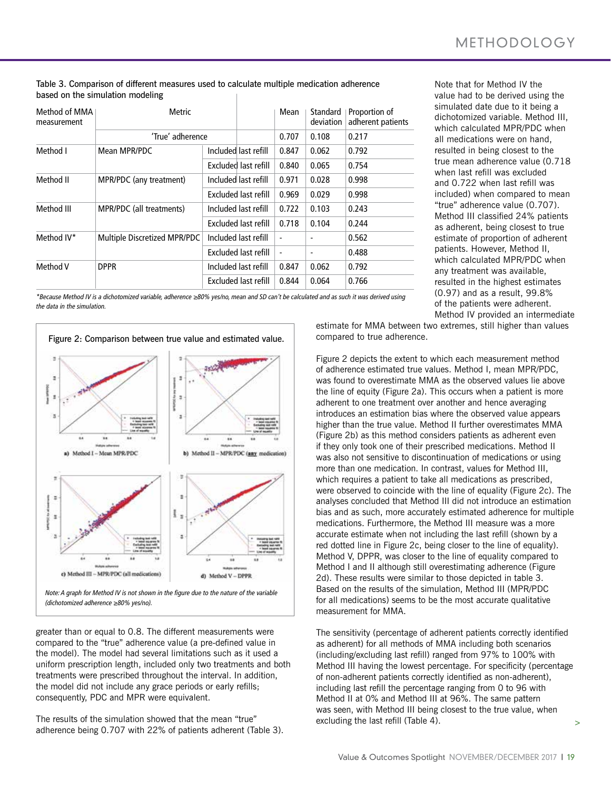| Method of MMA<br>measurement | Metric<br>'True' adherence   |  |                             | Mean                     | Standard<br>deviation | Proportion of<br>adherent patients |
|------------------------------|------------------------------|--|-----------------------------|--------------------------|-----------------------|------------------------------------|
|                              |                              |  |                             | 0.707                    | 0.108                 | 0.217                              |
| Method I                     | Mean MPR/PDC                 |  | Included last refill        | 0.847                    | 0.062                 | 0.792                              |
|                              |                              |  | Excluded last refill        | 0.840                    | 0.065                 | 0.754                              |
| Method II                    | MPR/PDC (any treatment)      |  | Included last refill        | 0.971                    | 0.028                 | 0.998                              |
|                              |                              |  | Excluded last refill        | 0.969                    | 0.029                 | 0.998                              |
| Method III                   | MPR/PDC (all treatments)     |  | Included last refill        | 0.722                    | 0.103                 | 0.243                              |
|                              |                              |  | <b>Excluded last refill</b> | 0.718                    | 0.104                 | 0.244                              |
| Method IV*                   | Multiple Discretized MPR/PDC |  | Included last refill        | $\overline{\phantom{a}}$ |                       | 0.562                              |
|                              |                              |  | Excluded last refill        | ä,                       |                       | 0.488                              |
| Method V                     | <b>DPPR</b>                  |  | Included last refill        | 0.847                    | 0.062                 | 0.792                              |
|                              |                              |  | Excluded last refill        | 0.844                    | 0.064                 | 0.766                              |

Table 3. Comparison of different measures used to calculate multiple medication adherence based on the simulation modeling

*\*Because Method IV is a dichotomized variable, adherence ≥80% yes/no, mean and SD can't be calculated and as such it was derived using the data in the simulation.*



*Note: A graph for Method IV is not shown in the figure due to the nature of the variable (dichotomized adherence ≥80% yes/no).* 

greater than or equal to 0.8. The different measurements were compared to the "true" adherence value (a pre-defined value in the model). The model had several limitations such as it used a uniform prescription length, included only two treatments and both treatments were prescribed throughout the interval. In addition, the model did not include any grace periods or early refills; consequently, PDC and MPR were equivalent.

The results of the simulation showed that the mean "true" adherence being 0.707 with 22% of patients adherent (Table 3).

Note that for Method IV the value had to be derived using the simulated date due to it being a dichotomized variable. Method III, which calculated MPR/PDC when all medications were on hand, resulted in being closest to the true mean adherence value (0.718 when last refill was excluded and 0.722 when last refill was included) when compared to mean "true" adherence value (0.707). Method III classified 24% patients as adherent, being closest to true estimate of proportion of adherent patients. However, Method II, which calculated MPR/PDC when any treatment was available, resulted in the highest estimates (0.97) and as a result, 99.8% of the patients were adherent. Method IV provided an intermediate

estimate for MMA between two extremes, still higher than values compared to true adherence.

Figure 2 depicts the extent to which each measurement method of adherence estimated true values. Method I, mean MPR/PDC, was found to overestimate MMA as the observed values lie above the line of equity (Figure 2a). This occurs when a patient is more adherent to one treatment over another and hence averaging introduces an estimation bias where the observed value appears higher than the true value. Method II further overestimates MMA (Figure 2b) as this method considers patients as adherent even if they only took one of their prescribed medications. Method II was also not sensitive to discontinuation of medications or using more than one medication. In contrast, values for Method III, which requires a patient to take all medications as prescribed. were observed to coincide with the line of equality (Figure 2c). The analyses concluded that Method III did not introduce an estimation bias and as such, more accurately estimated adherence for multiple medications. Furthermore, the Method III measure was a more accurate estimate when not including the last refill (shown by a red dotted line in Figure 2c, being closer to the line of equality). Method V, DPPR, was closer to the line of equality compared to Method I and II although still overestimating adherence (Figure 2d). These results were similar to those depicted in table 3. Based on the results of the simulation, Method III (MPR/PDC for all medications) seems to be the most accurate qualitative measurement for MMA.

> The sensitivity (percentage of adherent patients correctly identified as adherent) for all methods of MMA including both scenarios (including/excluding last refill) ranged from 97% to 100% with Method III having the lowest percentage. For specificity (percentage of non-adherent patients correctly identified as non-adherent), including last refill the percentage ranging from 0 to 96 with Method II at 0% and Method III at 96%. The same pattern was seen, with Method III being closest to the true value, when excluding the last refill (Table 4).